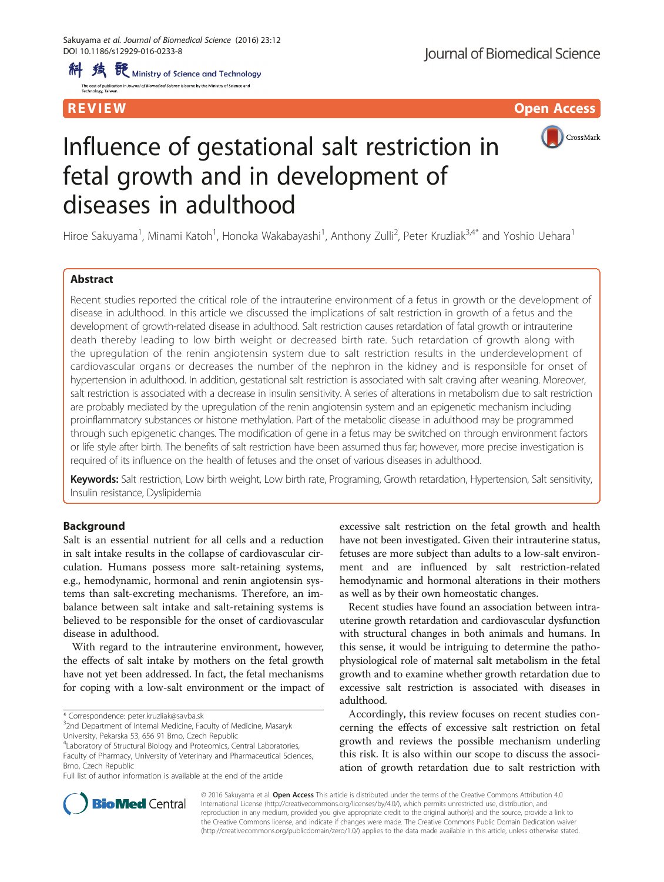REVIEW **EXISTENT CONTRACT CONTRACT CONTRACT CONTRACT CONTRACT CONTRACT CONTRACT CONTRACT CONTRACT CONTRACT CONTR** 



# Influence of gestational salt restriction in fetal growth and in development of diseases in adulthood

Hiroe Sakuyama<sup>1</sup>, Minami Katoh<sup>1</sup>, Honoka Wakabayashi<sup>1</sup>, Anthony Zulli<sup>2</sup>, Peter Kruzliak<sup>3,4\*</sup> and Yoshio Uehara<sup>1</sup>

# Abstract

Recent studies reported the critical role of the intrauterine environment of a fetus in growth or the development of disease in adulthood. In this article we discussed the implications of salt restriction in growth of a fetus and the development of growth-related disease in adulthood. Salt restriction causes retardation of fatal growth or intrauterine death thereby leading to low birth weight or decreased birth rate. Such retardation of growth along with the upregulation of the renin angiotensin system due to salt restriction results in the underdevelopment of cardiovascular organs or decreases the number of the nephron in the kidney and is responsible for onset of hypertension in adulthood. In addition, gestational salt restriction is associated with salt craving after weaning. Moreover, salt restriction is associated with a decrease in insulin sensitivity. A series of alterations in metabolism due to salt restriction are probably mediated by the upregulation of the renin angiotensin system and an epigenetic mechanism including proinflammatory substances or histone methylation. Part of the metabolic disease in adulthood may be programmed through such epigenetic changes. The modification of gene in a fetus may be switched on through environment factors or life style after birth. The benefits of salt restriction have been assumed thus far; however, more precise investigation is required of its influence on the health of fetuses and the onset of various diseases in adulthood.

Keywords: Salt restriction, Low birth weight, Low birth rate, Programing, Growth retardation, Hypertension, Salt sensitivity, Insulin resistance, Dyslipidemia

# Background

Salt is an essential nutrient for all cells and a reduction in salt intake results in the collapse of cardiovascular circulation. Humans possess more salt-retaining systems, e.g., hemodynamic, hormonal and renin angiotensin systems than salt-excreting mechanisms. Therefore, an imbalance between salt intake and salt-retaining systems is believed to be responsible for the onset of cardiovascular disease in adulthood.

With regard to the intrauterine environment, however, the effects of salt intake by mothers on the fetal growth have not yet been addressed. In fact, the fetal mechanisms for coping with a low-salt environment or the impact of

\* Correspondence: [peter.kruzliak@savba.sk](mailto:peter.kruzliak@savba.sk) <sup>3</sup>

<sup>3</sup>2nd Department of Internal Medicine, Faculty of Medicine, Masaryk University, Pekarska 53, 656 91 Brno, Czech Republic

4 Laboratory of Structural Biology and Proteomics, Central Laboratories, Faculty of Pharmacy, University of Veterinary and Pharmaceutical Sciences, Brno, Czech Republic

Full list of author information is available at the end of the article

excessive salt restriction on the fetal growth and health have not been investigated. Given their intrauterine status, fetuses are more subject than adults to a low-salt environment and are influenced by salt restriction-related hemodynamic and hormonal alterations in their mothers as well as by their own homeostatic changes.

Recent studies have found an association between intrauterine growth retardation and cardiovascular dysfunction with structural changes in both animals and humans. In this sense, it would be intriguing to determine the pathophysiological role of maternal salt metabolism in the fetal growth and to examine whether growth retardation due to excessive salt restriction is associated with diseases in adulthood.

Accordingly, this review focuses on recent studies concerning the effects of excessive salt restriction on fetal growth and reviews the possible mechanism underling this risk. It is also within our scope to discuss the association of growth retardation due to salt restriction with



© 2016 Sakuyama et al. Open Access This article is distributed under the terms of the Creative Commons Attribution 4.0 International License [\(http://creativecommons.org/licenses/by/4.0/](http://creativecommons.org/licenses/by/4.0/)), which permits unrestricted use, distribution, and reproduction in any medium, provided you give appropriate credit to the original author(s) and the source, provide a link to the Creative Commons license, and indicate if changes were made. The Creative Commons Public Domain Dedication waiver [\(http://creativecommons.org/publicdomain/zero/1.0/](http://creativecommons.org/publicdomain/zero/1.0/)) applies to the data made available in this article, unless otherwise stated.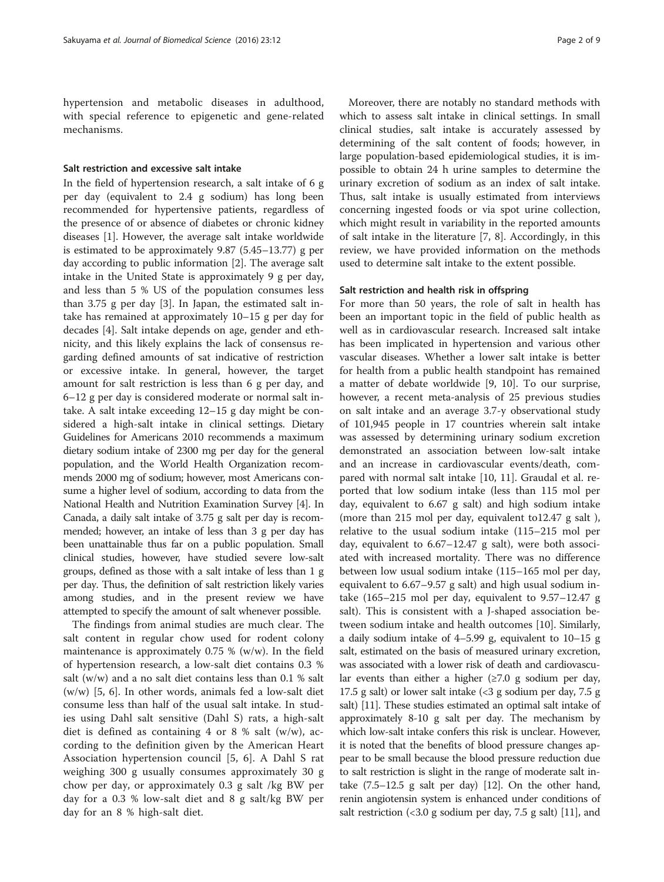hypertension and metabolic diseases in adulthood, with special reference to epigenetic and gene-related mechanisms.

#### Salt restriction and excessive salt intake

In the field of hypertension research, a salt intake of 6 g per day (equivalent to 2.4 g sodium) has long been recommended for hypertensive patients, regardless of the presence of or absence of diabetes or chronic kidney diseases [[1\]](#page-7-0). However, the average salt intake worldwide is estimated to be approximately 9.87 (5.45–13.77) g per day according to public information [[2\]](#page-7-0). The average salt intake in the United State is approximately 9 g per day, and less than 5 % US of the population consumes less than 3.75 g per day [\[3](#page-7-0)]. In Japan, the estimated salt intake has remained at approximately 10–15 g per day for decades [[4\]](#page-7-0). Salt intake depends on age, gender and ethnicity, and this likely explains the lack of consensus regarding defined amounts of sat indicative of restriction or excessive intake. In general, however, the target amount for salt restriction is less than 6 g per day, and 6–12 g per day is considered moderate or normal salt intake. A salt intake exceeding 12–15 g day might be considered a high-salt intake in clinical settings. Dietary Guidelines for Americans 2010 recommends a maximum dietary sodium intake of 2300 mg per day for the general population, and the World Health Organization recommends 2000 mg of sodium; however, most Americans consume a higher level of sodium, according to data from the National Health and Nutrition Examination Survey [[4\]](#page-7-0). In Canada, a daily salt intake of 3.75 g salt per day is recommended; however, an intake of less than 3 g per day has been unattainable thus far on a public population. Small clinical studies, however, have studied severe low-salt groups, defined as those with a salt intake of less than 1 g per day. Thus, the definition of salt restriction likely varies among studies, and in the present review we have attempted to specify the amount of salt whenever possible.

The findings from animal studies are much clear. The salt content in regular chow used for rodent colony maintenance is approximately 0.75 % (w/w). In the field of hypertension research, a low-salt diet contains 0.3 % salt (w/w) and a no salt diet contains less than 0.1 % salt (w/w) [\[5](#page-7-0), [6\]](#page-7-0). In other words, animals fed a low-salt diet consume less than half of the usual salt intake. In studies using Dahl salt sensitive (Dahl S) rats, a high-salt diet is defined as containing 4 or 8 % salt  $(w/w)$ , according to the definition given by the American Heart Association hypertension council [\[5](#page-7-0), [6](#page-7-0)]. A Dahl S rat weighing 300 g usually consumes approximately 30 g chow per day, or approximately 0.3 g salt /kg BW per day for a 0.3 % low-salt diet and 8 g salt/kg BW per day for an 8 % high-salt diet.

Moreover, there are notably no standard methods with which to assess salt intake in clinical settings. In small clinical studies, salt intake is accurately assessed by determining of the salt content of foods; however, in large population-based epidemiological studies, it is impossible to obtain 24 h urine samples to determine the urinary excretion of sodium as an index of salt intake. Thus, salt intake is usually estimated from interviews concerning ingested foods or via spot urine collection, which might result in variability in the reported amounts of salt intake in the literature [\[7](#page-7-0), [8\]](#page-7-0). Accordingly, in this review, we have provided information on the methods used to determine salt intake to the extent possible.

#### Salt restriction and health risk in offspring

For more than 50 years, the role of salt in health has been an important topic in the field of public health as well as in cardiovascular research. Increased salt intake has been implicated in hypertension and various other vascular diseases. Whether a lower salt intake is better for health from a public health standpoint has remained a matter of debate worldwide [\[9](#page-7-0), [10\]](#page-7-0). To our surprise, however, a recent meta-analysis of 25 previous studies on salt intake and an average 3.7-y observational study of 101,945 people in 17 countries wherein salt intake was assessed by determining urinary sodium excretion demonstrated an association between low-salt intake and an increase in cardiovascular events/death, compared with normal salt intake [[10](#page-7-0), [11\]](#page-7-0). Graudal et al. reported that low sodium intake (less than 115 mol per day, equivalent to 6.67 g salt) and high sodium intake (more than 215 mol per day, equivalent to12.47 g salt ), relative to the usual sodium intake (115–215 mol per day, equivalent to 6.67–12.47 g salt), were both associated with increased mortality. There was no difference between low usual sodium intake (115–165 mol per day, equivalent to 6.67–9.57 g salt) and high usual sodium intake (165–215 mol per day, equivalent to 9.57–12.47 g salt). This is consistent with a J-shaped association between sodium intake and health outcomes [[10\]](#page-7-0). Similarly, a daily sodium intake of 4–5.99 g, equivalent to 10–15 g salt, estimated on the basis of measured urinary excretion, was associated with a lower risk of death and cardiovascular events than either a higher  $(\geq 7.0 \text{ g}$  sodium per day, 17.5 g salt) or lower salt intake (<3 g sodium per day, 7.5 g salt) [\[11\]](#page-7-0). These studies estimated an optimal salt intake of approximately 8-10 g salt per day. The mechanism by which low-salt intake confers this risk is unclear. However, it is noted that the benefits of blood pressure changes appear to be small because the blood pressure reduction due to salt restriction is slight in the range of moderate salt intake (7.5–12.5 g salt per day) [[12](#page-7-0)]. On the other hand, renin angiotensin system is enhanced under conditions of salt restriction (<3.0 g sodium per day, 7.5 g salt) [\[11\]](#page-7-0), and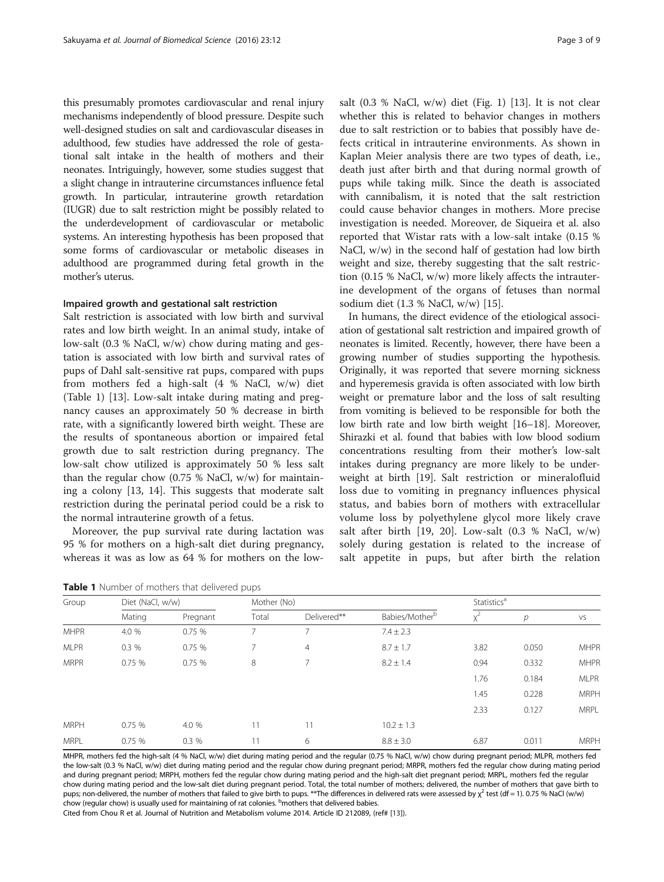this presumably promotes cardiovascular and renal injury mechanisms independently of blood pressure. Despite such well-designed studies on salt and cardiovascular diseases in adulthood, few studies have addressed the role of gestational salt intake in the health of mothers and their neonates. Intriguingly, however, some studies suggest that a slight change in intrauterine circumstances influence fetal growth. In particular, intrauterine growth retardation (IUGR) due to salt restriction might be possibly related to the underdevelopment of cardiovascular or metabolic systems. An interesting hypothesis has been proposed that some forms of cardiovascular or metabolic diseases in adulthood are programmed during fetal growth in the mother's uterus.

#### Impaired growth and gestational salt restriction

Salt restriction is associated with low birth and survival rates and low birth weight. In an animal study, intake of low-salt (0.3 % NaCl, w/w) chow during mating and gestation is associated with low birth and survival rates of pups of Dahl salt-sensitive rat pups, compared with pups from mothers fed a high-salt (4 % NaCl, w/w) diet (Table 1) [[13\]](#page-7-0). Low-salt intake during mating and pregnancy causes an approximately 50 % decrease in birth rate, with a significantly lowered birth weight. These are the results of spontaneous abortion or impaired fetal growth due to salt restriction during pregnancy. The low-salt chow utilized is approximately 50 % less salt than the regular chow  $(0.75 \%$  NaCl, w/w) for maintaining a colony [[13, 14](#page-7-0)]. This suggests that moderate salt restriction during the perinatal period could be a risk to the normal intrauterine growth of a fetus.

Moreover, the pup survival rate during lactation was 95 % for mothers on a high-salt diet during pregnancy, whereas it was as low as 64 % for mothers on the low-

| salt $(0.3 % NaCl, w/w)$ diet $(Fig. 1)$ [13]. It is not clear    |
|-------------------------------------------------------------------|
| whether this is related to behavior changes in mothers            |
| due to salt restriction or to babies that possibly have de-       |
| fects critical in intrauterine environments. As shown in          |
| Kaplan Meier analysis there are two types of death, <i>i.e.</i> , |
| death just after birth and that during normal growth of           |
| pups while taking milk. Since the death is associated             |
| with cannibalism, it is noted that the salt restriction           |
| could cause behavior changes in mothers. More precise             |
| investigation is needed. Moreover, de Siqueira et al. also        |
| reported that Wistar rats with a low-salt intake (0.15 %          |
| $\cdots$                                                          |

reporte NaCl, w/w) in the second half of gestation had low birth weight and size, thereby suggesting that the salt restriction (0.15 % NaCl, w/w) more likely affects the intrauterine development of the organs of fetuses than normal sodium diet (1.3 % NaCl, w/w) [[15\]](#page-7-0).

In humans, the direct evidence of the etiological association of gestational salt restriction and impaired growth of neonates is limited. Recently, however, there have been a growing number of studies supporting the hypothesis. Originally, it was reported that severe morning sickness and hyperemesis gravida is often associated with low birth weight or premature labor and the loss of salt resulting from vomiting is believed to be responsible for both the low birth rate and low birth weight [\[16](#page-7-0)–[18](#page-7-0)]. Moreover, Shirazki et al. found that babies with low blood sodium concentrations resulting from their mother's low-salt intakes during pregnancy are more likely to be underweight at birth [\[19\]](#page-7-0). Salt restriction or mineralofluid loss due to vomiting in pregnancy influences physical status, and babies born of mothers with extracellular volume loss by polyethylene glycol more likely crave salt after birth [[19](#page-7-0), [20\]](#page-7-0). Low-salt  $(0.3 %$  NaCl, w/w) solely during gestation is related to the increase of salt appetite in pups, but after birth the relation

| Group       | Diet (NaCl, w/w) |          | Mother (No) |             |                            | Statistics <sup>a</sup> |               |             |
|-------------|------------------|----------|-------------|-------------|----------------------------|-------------------------|---------------|-------------|
|             | Mating           | Pregnant | Total       | Delivered** | Babies/Mother <sup>b</sup> | $X^2$                   | $\mathcal{D}$ | VS          |
| <b>MHPR</b> | 4.0 %            | 0.75%    |             | 7           | $7.4 \pm 2.3$              |                         |               |             |
| <b>MLPR</b> | 0.3%             | 0.75%    | ⇁           | 4           | $8.7 \pm 1.7$              | 3.82                    | 0.050         | <b>MHPR</b> |
| <b>MRPR</b> | 0.75%            | 0.75%    | 8           | 7           | $8.2 \pm 1.4$              | 0.94                    | 0.332         | <b>MHPR</b> |
|             |                  |          |             |             |                            | 1.76                    | 0.184         | <b>MLPR</b> |
|             |                  |          |             |             |                            | 1.45                    | 0.228         | <b>MRPH</b> |
|             |                  |          |             |             |                            | 2.33                    | 0.127         | <b>MRPL</b> |
| <b>MRPH</b> | 0.75%            | 4.0 %    | 11          | 11          | $10.2 \pm 1.3$             |                         |               |             |
| <b>MRPL</b> | 0.75%            | 0.3%     |             | 6           | $8.8 \pm 3.0$              | 6.87                    | 0.011         | <b>MRPH</b> |

Table 1 Number of mothers that delivered pups

MHPR, mothers fed the high-salt (4 % NaCl, w/w) diet during mating period and the regular (0.75 % NaCl, w/w) chow during pregnant period; MLPR, mothers fed the low-salt (0.3 % NaCl, w/w) diet during mating period and the regular chow during pregnant period; MRPR, mothers fed the regular chow during mating period and during pregnant period; MRPH, mothers fed the regular chow during mating period and the high-salt diet pregnant period; MRPL, mothers fed the regular chow during mating period and the low-salt diet during pregnant period. Total, the total number of mothers; delivered, the number of mothers that gave birth to pups; non-delivered, the number of mothers that failed to give birth to pups. \*\*The differences in delivered rats were assessed by  $\chi^2$  test (df = 1). 0.75 % NaCl (w/w) .<br>chow (regular chow) is usually used for maintaining of rat colonies. <sup>b</sup>mothers that delivered babies.

Cited from Chou R et al. Journal of Nutrition and Metabolism volume 2014. Article ID 212089, (ref# [\[13](#page-7-0)]).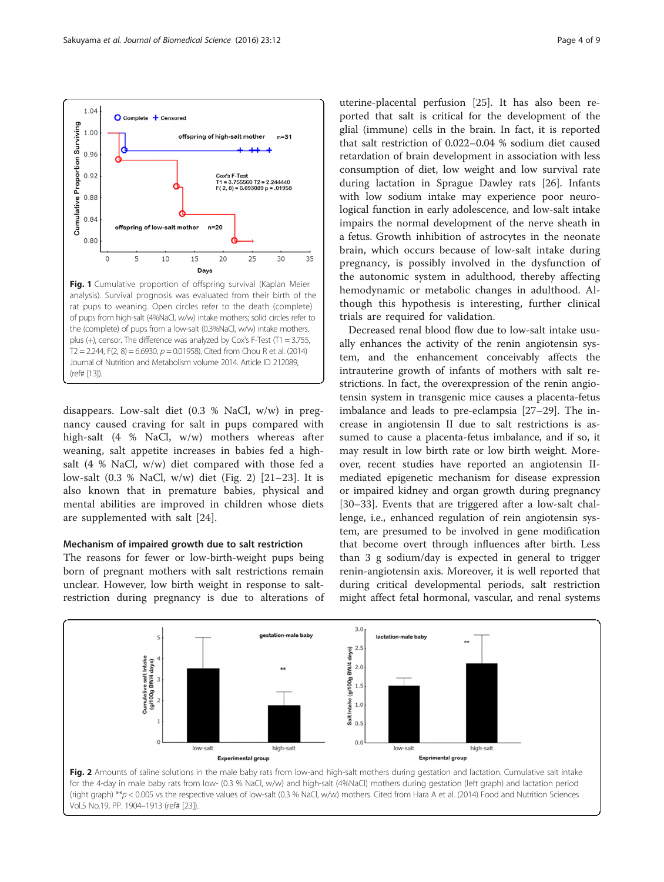<span id="page-3-0"></span>Sakuyama et al. Journal of Biomedical Science (2016) 23:12 **Page 4 of 9** Page 4 of 9



disappears. Low-salt diet (0.3 % NaCl, w/w) in pregnancy caused craving for salt in pups compared with high-salt (4 % NaCl, w/w) mothers whereas after weaning, salt appetite increases in babies fed a highsalt (4 % NaCl, w/w) diet compared with those fed a low-salt (0.3 % NaCl, w/w) diet (Fig. 2) [\[21](#page-7-0)–[23](#page-7-0)]. It is also known that in premature babies, physical and mental abilities are improved in children whose diets are supplemented with salt [\[24](#page-7-0)].

#### Mechanism of impaired growth due to salt restriction

The reasons for fewer or low-birth-weight pups being born of pregnant mothers with salt restrictions remain unclear. However, low birth weight in response to saltrestriction during pregnancy is due to alterations of

uterine-placental perfusion [\[25\]](#page-7-0). It has also been reported that salt is critical for the development of the glial (immune) cells in the brain. In fact, it is reported that salt restriction of 0.022–0.04 % sodium diet caused retardation of brain development in association with less consumption of diet, low weight and low survival rate during lactation in Sprague Dawley rats [\[26](#page-7-0)]. Infants with low sodium intake may experience poor neurological function in early adolescence, and low-salt intake impairs the normal development of the nerve sheath in a fetus. Growth inhibition of astrocytes in the neonate brain, which occurs because of low-salt intake during pregnancy, is possibly involved in the dysfunction of the autonomic system in adulthood, thereby affecting hemodynamic or metabolic changes in adulthood. Although this hypothesis is interesting, further clinical trials are required for validation.

Decreased renal blood flow due to low-salt intake usually enhances the activity of the renin angiotensin system, and the enhancement conceivably affects the intrauterine growth of infants of mothers with salt restrictions. In fact, the overexpression of the renin angiotensin system in transgenic mice causes a placenta-fetus imbalance and leads to pre-eclampsia [\[27](#page-7-0)–[29\]](#page-7-0). The increase in angiotensin II due to salt restrictions is assumed to cause a placenta-fetus imbalance, and if so, it may result in low birth rate or low birth weight. Moreover, recent studies have reported an angiotensin IImediated epigenetic mechanism for disease expression or impaired kidney and organ growth during pregnancy [[30](#page-7-0)–[33](#page-7-0)]. Events that are triggered after a low-salt challenge, i.e., enhanced regulation of rein angiotensin system, are presumed to be involved in gene modification that become overt through influences after birth. Less than 3 g sodium/day is expected in general to trigger renin-angiotensin axis. Moreover, it is well reported that during critical developmental periods, salt restriction might affect fetal hormonal, vascular, and renal systems

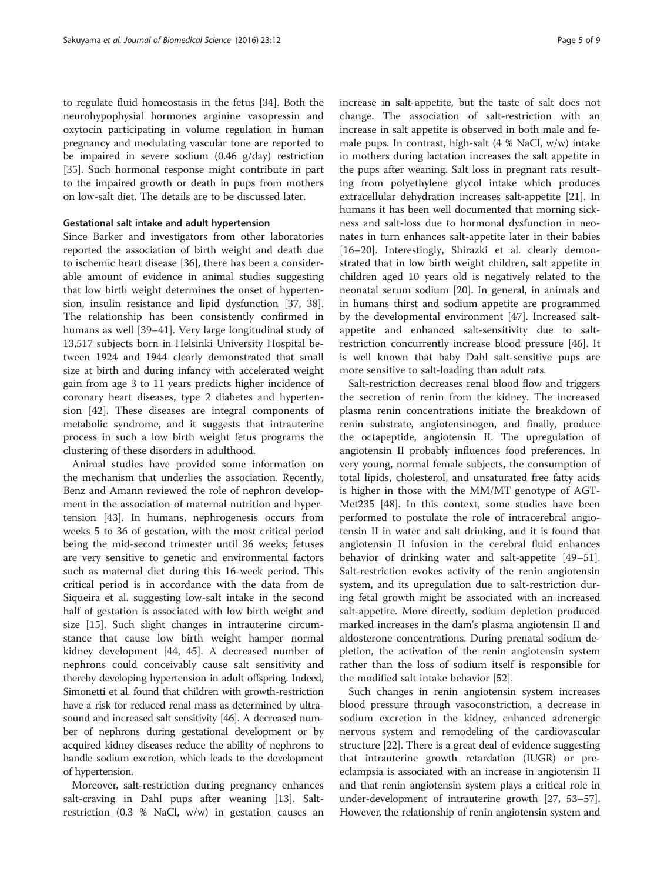to regulate fluid homeostasis in the fetus [[34](#page-7-0)]. Both the neurohypophysial hormones arginine vasopressin and oxytocin participating in volume regulation in human pregnancy and modulating vascular tone are reported to be impaired in severe sodium (0.46 g/day) restriction [[35\]](#page-7-0). Such hormonal response might contribute in part to the impaired growth or death in pups from mothers on low-salt diet. The details are to be discussed later.

### Gestational salt intake and adult hypertension

Since Barker and investigators from other laboratories reported the association of birth weight and death due to ischemic heart disease [[36\]](#page-7-0), there has been a considerable amount of evidence in animal studies suggesting that low birth weight determines the onset of hypertension, insulin resistance and lipid dysfunction [\[37](#page-7-0), [38](#page-7-0)]. The relationship has been consistently confirmed in humans as well [\[39](#page-7-0)–[41\]](#page-7-0). Very large longitudinal study of 13,517 subjects born in Helsinki University Hospital between 1924 and 1944 clearly demonstrated that small size at birth and during infancy with accelerated weight gain from age 3 to 11 years predicts higher incidence of coronary heart diseases, type 2 diabetes and hypertension [\[42](#page-7-0)]. These diseases are integral components of metabolic syndrome, and it suggests that intrauterine process in such a low birth weight fetus programs the clustering of these disorders in adulthood.

Animal studies have provided some information on the mechanism that underlies the association. Recently, Benz and Amann reviewed the role of nephron development in the association of maternal nutrition and hypertension [[43\]](#page-7-0). In humans, nephrogenesis occurs from weeks 5 to 36 of gestation, with the most critical period being the mid-second trimester until 36 weeks; fetuses are very sensitive to genetic and environmental factors such as maternal diet during this 16-week period. This critical period is in accordance with the data from de Siqueira et al. suggesting low-salt intake in the second half of gestation is associated with low birth weight and size [\[15](#page-7-0)]. Such slight changes in intrauterine circumstance that cause low birth weight hamper normal kidney development [[44,](#page-7-0) [45\]](#page-8-0). A decreased number of nephrons could conceivably cause salt sensitivity and thereby developing hypertension in adult offspring. Indeed, Simonetti et al. found that children with growth-restriction have a risk for reduced renal mass as determined by ultrasound and increased salt sensitivity [\[46\]](#page-8-0). A decreased number of nephrons during gestational development or by acquired kidney diseases reduce the ability of nephrons to handle sodium excretion, which leads to the development of hypertension.

Moreover, salt-restriction during pregnancy enhances salt-craving in Dahl pups after weaning [[13](#page-7-0)]. Saltrestriction (0.3 % NaCl, w/w) in gestation causes an increase in salt-appetite, but the taste of salt does not change. The association of salt-restriction with an increase in salt appetite is observed in both male and female pups. In contrast, high-salt (4 % NaCl, w/w) intake in mothers during lactation increases the salt appetite in the pups after weaning. Salt loss in pregnant rats resulting from polyethylene glycol intake which produces extracellular dehydration increases salt-appetite [[21](#page-7-0)]. In humans it has been well documented that morning sickness and salt-loss due to hormonal dysfunction in neonates in turn enhances salt-appetite later in their babies [[16](#page-7-0)–[20](#page-7-0)]. Interestingly, Shirazki et al. clearly demonstrated that in low birth weight children, salt appetite in children aged 10 years old is negatively related to the neonatal serum sodium [[20\]](#page-7-0). In general, in animals and in humans thirst and sodium appetite are programmed by the developmental environment [[47\]](#page-8-0). Increased saltappetite and enhanced salt-sensitivity due to saltrestriction concurrently increase blood pressure [[46\]](#page-8-0). It is well known that baby Dahl salt-sensitive pups are more sensitive to salt-loading than adult rats.

Salt-restriction decreases renal blood flow and triggers the secretion of renin from the kidney. The increased plasma renin concentrations initiate the breakdown of renin substrate, angiotensinogen, and finally, produce the octapeptide, angiotensin II. The upregulation of angiotensin II probably influences food preferences. In very young, normal female subjects, the consumption of total lipids, cholesterol, and unsaturated free fatty acids is higher in those with the MM/MT genotype of AGT-Met235 [\[48](#page-8-0)]. In this context, some studies have been performed to postulate the role of intracerebral angiotensin II in water and salt drinking, and it is found that angiotensin II infusion in the cerebral fluid enhances behavior of drinking water and salt-appetite [[49](#page-8-0)–[51](#page-8-0)]. Salt-restriction evokes activity of the renin angiotensin system, and its upregulation due to salt-restriction during fetal growth might be associated with an increased salt-appetite. More directly, sodium depletion produced marked increases in the dam's plasma angiotensin II and aldosterone concentrations. During prenatal sodium depletion, the activation of the renin angiotensin system rather than the loss of sodium itself is responsible for the modified salt intake behavior [\[52](#page-8-0)].

Such changes in renin angiotensin system increases blood pressure through vasoconstriction, a decrease in sodium excretion in the kidney, enhanced adrenergic nervous system and remodeling of the cardiovascular structure [[22](#page-7-0)]. There is a great deal of evidence suggesting that intrauterine growth retardation (IUGR) or preeclampsia is associated with an increase in angiotensin II and that renin angiotensin system plays a critical role in under-development of intrauterine growth [\[27,](#page-7-0) [53](#page-8-0)–[57](#page-8-0)]. However, the relationship of renin angiotensin system and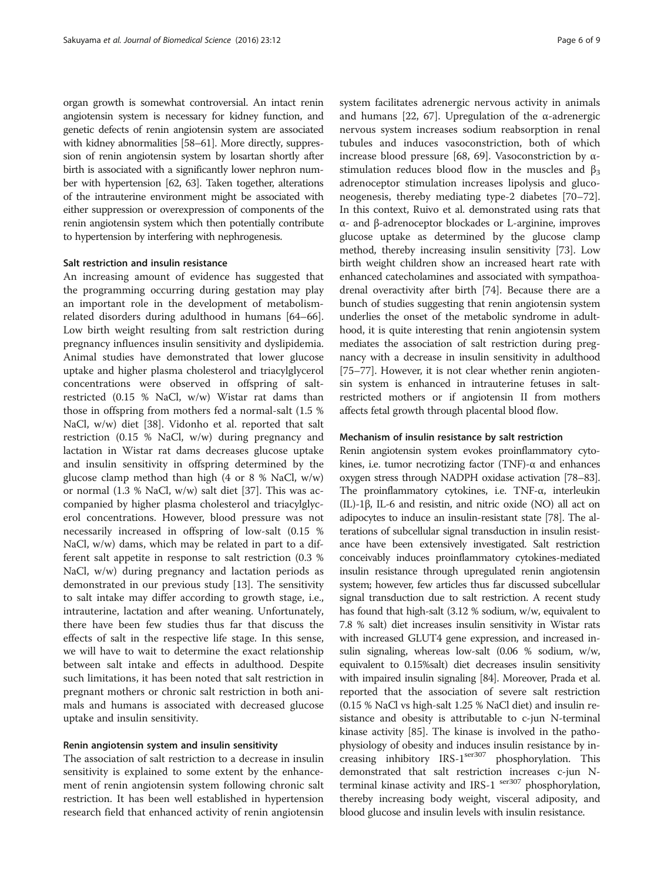organ growth is somewhat controversial. An intact renin angiotensin system is necessary for kidney function, and genetic defects of renin angiotensin system are associated with kidney abnormalities [\[58](#page-8-0)–[61\]](#page-8-0). More directly, suppression of renin angiotensin system by losartan shortly after birth is associated with a significantly lower nephron number with hypertension [\[62, 63\]](#page-8-0). Taken together, alterations of the intrauterine environment might be associated with either suppression or overexpression of components of the renin angiotensin system which then potentially contribute to hypertension by interfering with nephrogenesis.

#### Salt restriction and insulin resistance

An increasing amount of evidence has suggested that the programming occurring during gestation may play an important role in the development of metabolismrelated disorders during adulthood in humans [[64](#page-8-0)–[66](#page-8-0)]. Low birth weight resulting from salt restriction during pregnancy influences insulin sensitivity and dyslipidemia. Animal studies have demonstrated that lower glucose uptake and higher plasma cholesterol and triacylglycerol concentrations were observed in offspring of saltrestricted (0.15 % NaCl, w/w) Wistar rat dams than those in offspring from mothers fed a normal-salt (1.5 % NaCl, w/w) diet [\[38\]](#page-7-0). Vidonho et al. reported that salt restriction (0.15 % NaCl, w/w) during pregnancy and lactation in Wistar rat dams decreases glucose uptake and insulin sensitivity in offspring determined by the glucose clamp method than high  $(4 \text{ or } 8 \% \text{ NaCl}, w/w)$ or normal (1.3 % NaCl, w/w) salt diet [[37\]](#page-7-0). This was accompanied by higher plasma cholesterol and triacylglycerol concentrations. However, blood pressure was not necessarily increased in offspring of low-salt (0.15 % NaCl, w/w) dams, which may be related in part to a different salt appetite in response to salt restriction (0.3 % NaCl, w/w) during pregnancy and lactation periods as demonstrated in our previous study [\[13\]](#page-7-0). The sensitivity to salt intake may differ according to growth stage, i.e., intrauterine, lactation and after weaning. Unfortunately, there have been few studies thus far that discuss the effects of salt in the respective life stage. In this sense, we will have to wait to determine the exact relationship between salt intake and effects in adulthood. Despite such limitations, it has been noted that salt restriction in pregnant mothers or chronic salt restriction in both animals and humans is associated with decreased glucose uptake and insulin sensitivity.

#### Renin angiotensin system and insulin sensitivity

The association of salt restriction to a decrease in insulin sensitivity is explained to some extent by the enhancement of renin angiotensin system following chronic salt restriction. It has been well established in hypertension research field that enhanced activity of renin angiotensin system facilitates adrenergic nervous activity in animals and humans [[22,](#page-7-0) [67\]](#page-8-0). Upregulation of the α-adrenergic nervous system increases sodium reabsorption in renal tubules and induces vasoconstriction, both of which increase blood pressure [[68](#page-8-0), [69](#page-8-0)]. Vasoconstriction by αstimulation reduces blood flow in the muscles and  $\beta_3$ adrenoceptor stimulation increases lipolysis and gluconeogenesis, thereby mediating type-2 diabetes [[70](#page-8-0)–[72](#page-8-0)]. In this context, Ruivo et al. demonstrated using rats that α- and β-adrenoceptor blockades or L-arginine, improves glucose uptake as determined by the glucose clamp method, thereby increasing insulin sensitivity [[73](#page-8-0)]. Low birth weight children show an increased heart rate with enhanced catecholamines and associated with sympathoadrenal overactivity after birth [\[74](#page-8-0)]. Because there are a bunch of studies suggesting that renin angiotensin system underlies the onset of the metabolic syndrome in adulthood, it is quite interesting that renin angiotensin system mediates the association of salt restriction during pregnancy with a decrease in insulin sensitivity in adulthood [[75](#page-8-0)–[77\]](#page-8-0). However, it is not clear whether renin angiotensin system is enhanced in intrauterine fetuses in saltrestricted mothers or if angiotensin II from mothers affects fetal growth through placental blood flow.

#### Mechanism of insulin resistance by salt restriction

Renin angiotensin system evokes proinflammatory cytokines, i.e. tumor necrotizing factor (TNF)-α and enhances oxygen stress through NADPH oxidase activation [\[78](#page-8-0)–[83](#page-8-0)]. The proinflammatory cytokines, i.e. TNF-α, interleukin (IL)-1β, IL-6 and resistin, and nitric oxide (NO) all act on adipocytes to induce an insulin-resistant state [\[78](#page-8-0)]. The alterations of subcellular signal transduction in insulin resistance have been extensively investigated. Salt restriction conceivably induces proinflammatory cytokines-mediated insulin resistance through upregulated renin angiotensin system; however, few articles thus far discussed subcellular signal transduction due to salt restriction. A recent study has found that high-salt (3.12 % sodium, w/w, equivalent to 7.8 % salt) diet increases insulin sensitivity in Wistar rats with increased GLUT4 gene expression, and increased insulin signaling, whereas low-salt (0.06 % sodium, w/w, equivalent to 0.15%salt) diet decreases insulin sensitivity with impaired insulin signaling [\[84\]](#page-8-0). Moreover, Prada et al. reported that the association of severe salt restriction (0.15 % NaCl vs high-salt 1.25 % NaCl diet) and insulin resistance and obesity is attributable to c-jun N-terminal kinase activity [\[85\]](#page-8-0). The kinase is involved in the pathophysiology of obesity and induces insulin resistance by increasing inhibitory IRS-1ser307 phosphorylation. This demonstrated that salt restriction increases c-jun Nterminal kinase activity and IRS-1  $\frac{\text{ser307}}{}$  phosphorylation, thereby increasing body weight, visceral adiposity, and blood glucose and insulin levels with insulin resistance.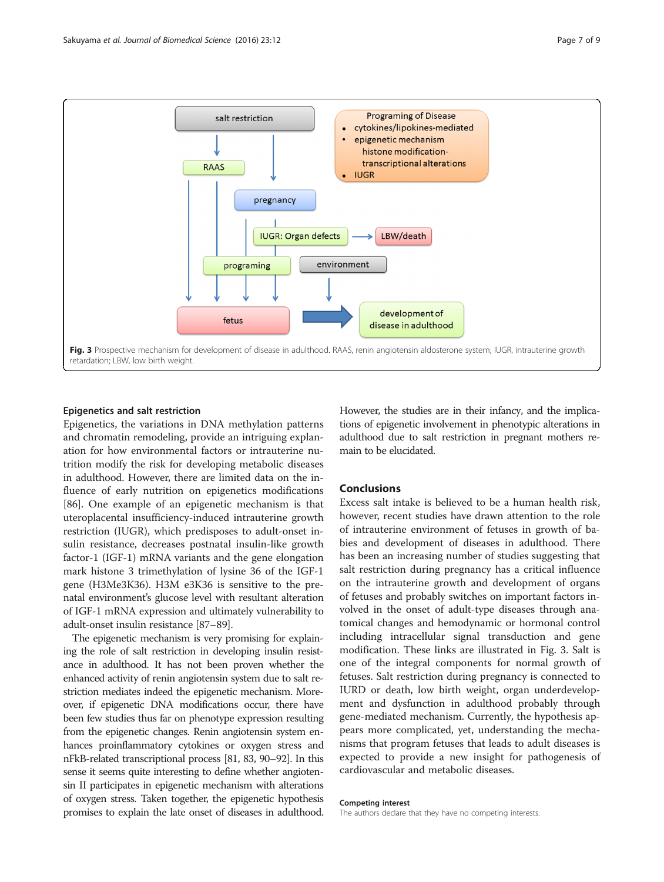

#### Epigenetics and salt restriction

Epigenetics, the variations in DNA methylation patterns and chromatin remodeling, provide an intriguing explanation for how environmental factors or intrauterine nutrition modify the risk for developing metabolic diseases in adulthood. However, there are limited data on the influence of early nutrition on epigenetics modifications [[86\]](#page-8-0). One example of an epigenetic mechanism is that uteroplacental insufficiency-induced intrauterine growth restriction (IUGR), which predisposes to adult-onset insulin resistance, decreases postnatal insulin-like growth factor-1 (IGF-1) mRNA variants and the gene elongation mark histone 3 trimethylation of lysine 36 of the IGF-1 gene (H3Me3K36). H3M e3K36 is sensitive to the prenatal environment's glucose level with resultant alteration of IGF-1 mRNA expression and ultimately vulnerability to adult-onset insulin resistance [[87](#page-8-0)–[89\]](#page-8-0).

The epigenetic mechanism is very promising for explaining the role of salt restriction in developing insulin resistance in adulthood. It has not been proven whether the enhanced activity of renin angiotensin system due to salt restriction mediates indeed the epigenetic mechanism. Moreover, if epigenetic DNA modifications occur, there have been few studies thus far on phenotype expression resulting from the epigenetic changes. Renin angiotensin system enhances proinflammatory cytokines or oxygen stress and nFkB-related transcriptional process [\[81](#page-8-0), [83, 90](#page-8-0)–[92](#page-8-0)]. In this sense it seems quite interesting to define whether angiotensin II participates in epigenetic mechanism with alterations of oxygen stress. Taken together, the epigenetic hypothesis promises to explain the late onset of diseases in adulthood. However, the studies are in their infancy, and the implications of epigenetic involvement in phenotypic alterations in adulthood due to salt restriction in pregnant mothers remain to be elucidated.

#### Conclusions

Excess salt intake is believed to be a human health risk, however, recent studies have drawn attention to the role of intrauterine environment of fetuses in growth of babies and development of diseases in adulthood. There has been an increasing number of studies suggesting that salt restriction during pregnancy has a critical influence on the intrauterine growth and development of organs of fetuses and probably switches on important factors involved in the onset of adult-type diseases through anatomical changes and hemodynamic or hormonal control including intracellular signal transduction and gene modification. These links are illustrated in Fig. 3. Salt is one of the integral components for normal growth of fetuses. Salt restriction during pregnancy is connected to IURD or death, low birth weight, organ underdevelopment and dysfunction in adulthood probably through gene-mediated mechanism. Currently, the hypothesis appears more complicated, yet, understanding the mechanisms that program fetuses that leads to adult diseases is expected to provide a new insight for pathogenesis of cardiovascular and metabolic diseases.

#### Competing interest

The authors declare that they have no competing interests.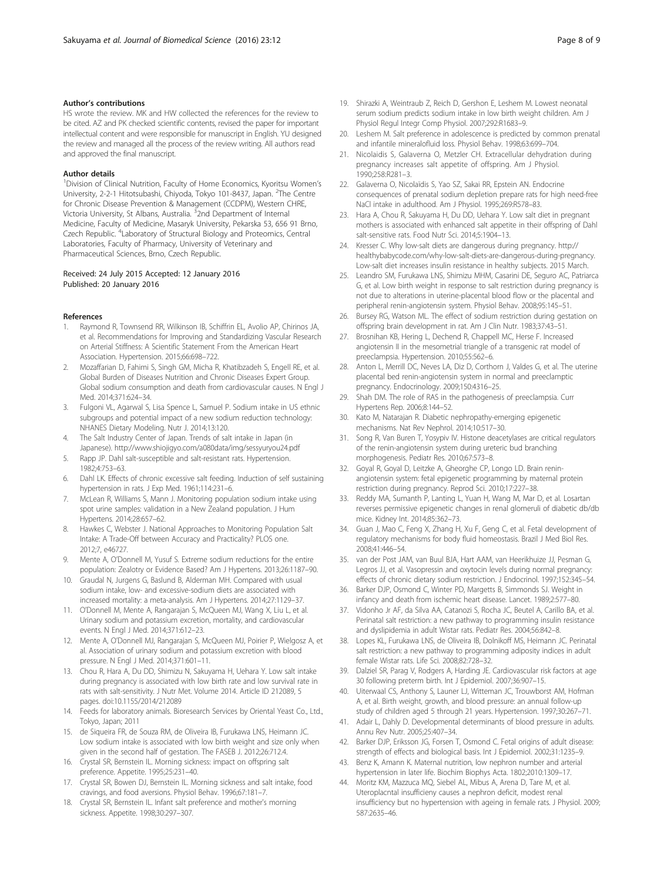#### <span id="page-7-0"></span>Author's contributions

HS wrote the review. MK and HW collected the references for the review to be cited. AZ and PK checked scientific contents, revised the paper for important intellectual content and were responsible for manuscript in English. YU designed the review and managed all the process of the review writing. All authors read and approved the final manuscript.

#### Author details

<sup>1</sup> Division of Clinical Nutrition, Faculty of Home Economics, Kyoritsu Women's University, 2-2-1 Hitotsubashi, Chiyoda, Tokyo 101-8437, Japan. <sup>2</sup>The Centre for Chronic Disease Prevention & Management (CCDPM), Western CHRE, Victoria University, St Albans, Australia. <sup>3</sup>2nd Department of Internal Medicine, Faculty of Medicine, Masaryk University, Pekarska 53, 656 91 Brno, Czech Republic. <sup>4</sup>Laboratory of Structural Biology and Proteomics, Central Laboratories, Faculty of Pharmacy, University of Veterinary and Pharmaceutical Sciences, Brno, Czech Republic.

#### Received: 24 July 2015 Accepted: 12 January 2016 Published: 20 January 2016

#### References

- 1. Raymond R, Townsend RR, Wilkinson IB, Schiffrin EL, Avolio AP, Chirinos JA, et al. Recommendations for Improving and Standardizing Vascular Research on Arterial Stiffness: A Scientific Statement From the American Heart Association. Hypertension. 2015;66:698–722.
- 2. Mozaffarian D, Fahimi S, Singh GM, Micha R, Khatibzadeh S, Engell RE, et al. Global Burden of Diseases Nutrition and Chronic Diseases Expert Group. Global sodium consumption and death from cardiovascular causes. N Engl J Med. 2014;371:624–34.
- 3. Fulgoni VL, Agarwal S, Lisa Spence L, Samuel P. Sodium intake in US ethnic subgroups and potential impact of a new sodium reduction technology: NHANES Dietary Modeling. Nutr J. 2014;13:120.
- 4. The Salt Industry Center of Japan. Trends of salt intake in Japan (in Japanese).<http://www.shiojigyo.com/a080data/img/sessyuryou24.pdf>
- 5. Rapp JP. Dahl salt-susceptible and salt-resistant rats. Hypertension. 1982;4:753–63.
- 6. Dahl LK. Effects of chronic excessive salt feeding. Induction of self sustaining hypertension in rats. J Exp Med. 1961;114:231–6.
- 7. McLean R, Williams S, Mann J. Monitoring population sodium intake using spot urine samples: validation in a New Zealand population. J Hum Hypertens. 2014;28:657–62.
- 8. Hawkes C, Webster J. National Approaches to Monitoring Population Salt Intake: A Trade-Off between Accuracy and Practicality? PLOS one. 2012;7, e46727.
- 9. Mente A, O'Donnell M, Yusuf S. Extreme sodium reductions for the entire population: Zealotry or Evidence Based? Am J Hypertens. 2013;26:1187–90.
- 10. Graudal N, Jurgens G, Baslund B, Alderman MH. Compared with usual sodium intake, low- and excessive-sodium diets are associated with increased mortality: a meta-analysis. Am J Hypertens. 2014;27:1129–37.
- 11. O'Donnell M, Mente A, Rangarajan S, McQueen MJ, Wang X, Liu L, et al. Urinary sodium and potassium excretion, mortality, and cardiovascular events. N Engl J Med. 2014;371:612–23.
- 12. Mente A, O'Donnell MJ, Rangarajan S, McQueen MJ, Poirier P, Wielgosz A, et al. Association of urinary sodium and potassium excretion with blood pressure. N Engl J Med. 2014;371:601–11.
- 13. Chou R, Hara A, Du DD, Shimizu N, Sakuyama H, Uehara Y. Low salt intake during pregnancy is associated with low birth rate and low survival rate in rats with salt-sensitivity. J Nutr Met. Volume 2014. Article ID 212089, 5 pages. doi[:10.1155/2014/212089](http://dx.doi.org/10.1155/2014/212089)
- 14. Feeds for laboratory animals. Bioresearch Services by Oriental Yeast Co., Ltd., Tokyo, Japan; 2011
- 15. de Siqueira FR, de Souza RM, de Oliveira IB, Furukawa LNS, Heimann JC. Low sodium intake is associated with low birth weight and size only when given in the second half of gestation. The FASEB J. 2012;26:712.4.
- 16. Crystal SR, Bernstein IL. Morning sickness: impact on offspring salt preference. Appetite. 1995;25:231–40.
- 17. Crystal SR, Bowen DJ, Bernstein IL. Morning sickness and salt intake, food cravings, and food aversions. Physiol Behav. 1996;67:181–7.
- 18. Crystal SR, Bernstein IL. Infant salt preference and mother's morning sickness. Appetite. 1998;30:297–307.
- 19. Shirazki A, Weintraub Z, Reich D, Gershon E, Leshem M. Lowest neonatal serum sodium predicts sodium intake in low birth weight children. Am J Physiol Regul Integr Comp Physiol. 2007;292:R1683–9.
- 20. Leshem M. Salt preference in adolescence is predicted by common prenatal and infantile mineralofluid loss. Physiol Behav. 1998;63:699–704.
- 21. Nicolaidis S, Galaverna O, Metzler CH. Extracellular dehydration during pregnancy increases salt appetite of offspring. Am J Physiol. 1990;258:R281–3.
- 22. Galaverna O, Nicolaïdis S, Yao SZ, Sakai RR, Epstein AN. Endocrine consequences of prenatal sodium depletion prepare rats for high need-free NaCl intake in adulthood. Am J Physiol. 1995;269:R578–83.
- 23. Hara A, Chou R, Sakuyama H, Du DD, Uehara Y. Low salt diet in pregnant mothers is associated with enhanced salt appetite in their offspring of Dahl salt-sensitive rats. Food Nutr Sci. 2014;5:1904–13.
- 24. Kresser C. Why low-salt diets are dangerous during pregnancy. [http://](http://healthybabycode.com/why-low-salt-diets-are-dangerous-during-pregnancy) [healthybabycode.com/why-low-salt-diets-are-dangerous-during-pregnancy.](http://healthybabycode.com/why-low-salt-diets-are-dangerous-during-pregnancy) Low-salt diet increases insulin resistance in healthy subjects. 2015 March.
- 25. Leandro SM, Furukawa LNS, Shimizu MHM, Casarini DE, Seguro AC, Patriarca G, et al. Low birth weight in response to salt restriction during pregnancy is not due to alterations in uterine-placental blood flow or the placental and peripheral renin-angiotensin system. Physiol Behav. 2008;95:145–51.
- 26. Bursey RG, Watson ML. The effect of sodium restriction during gestation on offspring brain development in rat. Am J Clin Nutr. 1983;37:43–51.
- 27. Brosnihan KB, Hering L, Dechend R, Chappell MC, Herse F. Increased angiotensin II in the mesometrial triangle of a transgenic rat model of preeclampsia. Hypertension. 2010;55:562–6.
- 28. Anton L, Merrill DC, Neves LA, Diz D, Corthorn J, Valdes G, et al. The uterine placental bed renin-angiotensin system in normal and preeclamptic pregnancy. Endocrinology. 2009;150:4316–25.
- 29. Shah DM. The role of RAS in the pathogenesis of preeclampsia. Curr Hypertens Rep. 2006;8:144–52.
- 30. Kato M, Natarajan R. Diabetic nephropathy-emerging epigenetic mechanisms. Nat Rev Nephrol. 2014;10:517–30.
- 31. Song R, Van Buren T, Yosypiv IV. Histone deacetylases are critical regulators of the renin-angiotensin system during ureteric bud branching morphogenesis. Pediatr Res. 2010;67:573–8.
- 32. Goyal R, Goyal D, Leitzke A, Gheorghe CP, Longo LD. Brain reninangiotensin system: fetal epigenetic programming by maternal protein restriction during pregnancy. Reprod Sci. 2010;17:227–38.
- 33. Reddy MA, Sumanth P, Lanting L, Yuan H, Wang M, Mar D, et al. Losartan reverses permissive epigenetic changes in renal glomeruli of diabetic db/db mice. Kidney Int. 2014;85:362–73.
- Guan J, Mao C, Feng X, Zhang H, Xu F, Geng C, et al. Fetal development of regulatory mechanisms for body fluid homeostasis. Brazil J Med Biol Res. 2008;41:446–54.
- 35. van der Post JAM, van Buul BJA, Hart AAM, van Heerikhuize JJ, Pesman G, Legros JJ, et al. Vasopressin and oxytocin levels during normal pregnancy: effects of chronic dietary sodium restriction. J Endocrinol. 1997;152:345–54.
- 36. Barker DJP, Osmond C, Winter PD, Margetts B, Simmonds SJ. Weight in infancy and death from ischemic heart disease. Lancet. 1989;2:577–80.
- 37. Vidonho Jr AF, da Silva AA, Catanozi S, Rocha JC, Beutel A, Carillo BA, et al. Perinatal salt restriction: a new pathway to programming insulin resistance and dyslipidemia in adult Wistar rats. Pediatr Res. 2004;56:842–8.
- 38. Lopes KL, Furukawa LNS, de Oliveira IB, Dolnikoff MS, Heimann JC. Perinatal salt restriction: a new pathway to programming adiposity indices in adult female Wistar rats. Life Sci. 2008;82:728–32.
- 39. Dalziel SR, Parag V, Rodgers A, Harding JE. Cardiovascular risk factors at age 30 following preterm birth. Int J Epidemiol. 2007;36:907–15.
- 40. Uiterwaal CS, Anthony S, Launer LJ, Witteman JC, Trouwborst AM, Hofman A, et al. Birth weight, growth, and blood pressure: an annual follow-up study of children aged 5 through 21 years. Hypertension. 1997;30:267–71.
- 41. Adair L, Dahly D. Developmental determinants of blood pressure in adults. Annu Rev Nutr. 2005;25:407–34.
- 42. Barker DJP, Eriksson JG, Forsen T, Osmond C. Fetal origins of adult disease: strength of effects and biological basis. Int J Epidemiol. 2002;31:1235–9.
- 43. Benz K, Amann K. Maternal nutrition, low nephron number and arterial hypertension in later life. Biochim Biophys Acta. 1802;2010:1309–17.
- 44. Moritz KM, Mazzuca MQ, Siebel AL, Mibus A, Arena D, Tare M, et al. Uteroplacntal insufficieny causes a nephron deficit, modest renal insufficiency but no hypertension with ageing in female rats. J Physiol. 2009; 587:2635–46.